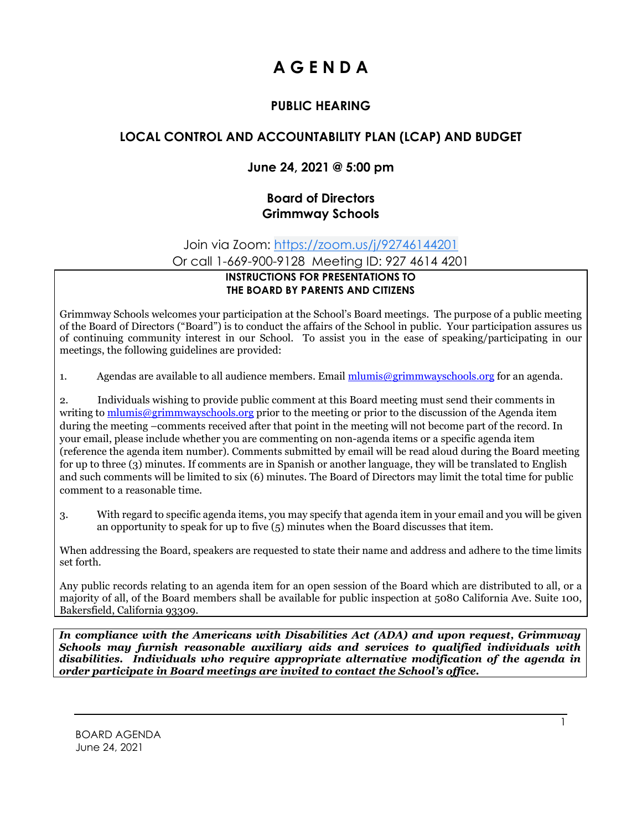# **A G E N D A**

## **PUBLIC HEARING**

# **LOCAL CONTROL AND ACCOUNTABILITY PLAN (LCAP) AND BUDGET**

### **June 24, 2021 @ 5:00 pm**

#### **Board of Directors Grimmway Schools**

Join via Zoom: [https://zoom.us/j/92746144201](https://www.google.com/url?q=https://zoom.us/j/92746144201&sa=D&source=calendar&ust=1624128635537000&usg=AOvVaw185x3lQJdcoDN_MiZKRblb)

Or call 1-669-900-9128 Meeting ID: 927 4614 4201

#### **INSTRUCTIONS FOR PRESENTATIONS TO THE BOARD BY PARENTS AND CITIZENS**

Grimmway Schools welcomes your participation at the School's Board meetings. The purpose of a public meeting of the Board of Directors ("Board") is to conduct the affairs of the School in public. Your participation assures us of continuing community interest in our School. To assist you in the ease of speaking/participating in our meetings, the following guidelines are provided:

1. Agendas are available to all audience members. Email  $\frac{m \cdot m \cdot \hat{m}}{m \cdot m \cdot \hat{m}}$  for an agenda.

2. Individuals wishing to provide public comment at this Board meeting must send their comments in writing to [mlumis@grimmwayschools.org](mailto:mlumis@grimmwayschools.org) prior to the meeting or prior to the discussion of the Agenda item during the meeting –comments received after that point in the meeting will not become part of the record. In your email, please include whether you are commenting on non-agenda items or a specific agenda item (reference the agenda item number). Comments submitted by email will be read aloud during the Board meeting for up to three (3) minutes. If comments are in Spanish or another language, they will be translated to English and such comments will be limited to six (6) minutes. The Board of Directors may limit the total time for public comment to a reasonable time.

3. With regard to specific agenda items, you may specify that agenda item in your email and you will be given an opportunity to speak for up to five (5) minutes when the Board discusses that item.

When addressing the Board, speakers are requested to state their name and address and adhere to the time limits set forth.

Any public records relating to an agenda item for an open session of the Board which are distributed to all, or a majority of all, of the Board members shall be available for public inspection at 5080 California Ave. Suite 100, Bakersfield, California 93309.

*In compliance with the Americans with Disabilities Act (ADA) and upon request, Grimmway Schools may furnish reasonable auxiliary aids and services to qualified individuals with disabilities. Individuals who require appropriate alternative modification of the agenda in order participate in Board meetings are invited to contact the School's office.*